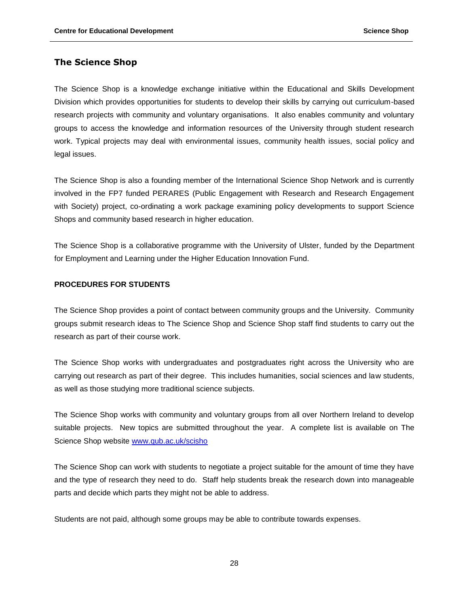## **The Science Shop**

The Science Shop is a knowledge exchange initiative within the Educational and Skills Development Division which provides opportunities for students to develop their skills by carrying out curriculum-based research projects with community and voluntary organisations. It also enables community and voluntary groups to access the knowledge and information resources of the University through student research work. Typical projects may deal with environmental issues, community health issues, social policy and legal issues.

The Science Shop is also a founding member of the International Science Shop Network and is currently involved in the FP7 funded PERARES (Public Engagement with Research and Research Engagement with Society) project, co-ordinating a work package examining policy developments to support Science Shops and community based research in higher education.

The Science Shop is a collaborative programme with the University of Ulster, funded by the Department for Employment and Learning under the Higher Education Innovation Fund.

## **PROCEDURES FOR STUDENTS**

The Science Shop provides a point of contact between community groups and the University. Community groups submit research ideas to The Science Shop and Science Shop staff find students to carry out the research as part of their course work.

The Science Shop works with undergraduates and postgraduates right across the University who are carrying out research as part of their degree. This includes humanities, social sciences and law students, as well as those studying more traditional science subjects.

The Science Shop works with community and voluntary groups from all over Northern Ireland to develop suitable projects. New topics are submitted throughout the year. A complete list is available on The Science Shop website [www.qub.ac.uk/scisho](http://www.qub.ac.uk/scisho)

The Science Shop can work with students to negotiate a project suitable for the amount of time they have and the type of research they need to do. Staff help students break the research down into manageable parts and decide which parts they might not be able to address.

Students are not paid, although some groups may be able to contribute towards expenses.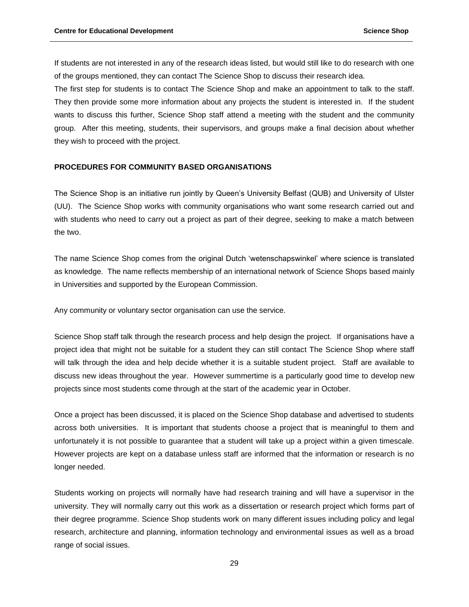If students are not interested in any of the research ideas listed, but would still like to do research with one of the groups mentioned, they can contact The Science Shop to discuss their research idea.

The first step for students is to contact The Science Shop and make an appointment to talk to the staff. They then provide some more information about any projects the student is interested in. If the student wants to discuss this further, Science Shop staff attend a meeting with the student and the community group. After this meeting, students, their supervisors, and groups make a final decision about whether they wish to proceed with the project.

## **PROCEDURES FOR COMMUNITY BASED ORGANISATIONS**

The Science Shop is an initiative run jointly by Queen's University Belfast (QUB) and University of Ulster (UU). The Science Shop works with community organisations who want some research carried out and with students who need to carry out a project as part of their degree, seeking to make a match between the two.

The name Science Shop comes from the original Dutch 'wetenschapswinkel' where science is translated as knowledge. The name reflects membership of an international network of Science Shops based mainly in Universities and supported by the European Commission.

Any community or voluntary sector organisation can use the service.

Science Shop staff talk through the research process and help design the project. If organisations have a project idea that might not be suitable for a student they can still contact The Science Shop where staff will talk through the idea and help decide whether it is a suitable student project. Staff are available to discuss new ideas throughout the year. However summertime is a particularly good time to develop new projects since most students come through at the start of the academic year in October.

Once a project has been discussed, it is placed on the Science Shop database and advertised to students across both universities. It is important that students choose a project that is meaningful to them and unfortunately it is not possible to guarantee that a student will take up a project within a given timescale. However projects are kept on a database unless staff are informed that the information or research is no longer needed.

Students working on projects will normally have had research training and will have a supervisor in the university. They will normally carry out this work as a dissertation or research project which forms part of their degree programme. Science Shop students work on many different issues including policy and legal research, architecture and planning, information technology and environmental issues as well as a broad range of social issues.